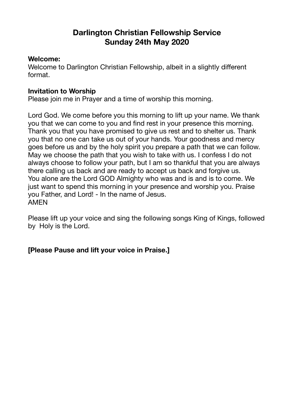# **Darlington Christian Fellowship Service Sunday 24th May 2020**

#### **Welcome:**

Welcome to Darlington Christian Fellowship, albeit in a slightly different format.

## **Invitation to Worship**

Please join me in Prayer and a time of worship this morning.

Lord God. We come before you this morning to lift up your name. We thank you that we can come to you and find rest in your presence this morning. Thank you that you have promised to give us rest and to shelter us. Thank you that no one can take us out of your hands. Your goodness and mercy goes before us and by the holy spirit you prepare a path that we can follow. May we choose the path that you wish to take with us. I confess I do not always choose to follow your path, but I am so thankful that you are always there calling us back and are ready to accept us back and forgive us. You alone are the Lord GOD Almighty who was and is and is to come. We just want to spend this morning in your presence and worship you. Praise you Father, and Lord! - In the name of Jesus. AMEN

Please lift up your voice and sing the following songs King of Kings, followed by Holy is the Lord.

## **[Please Pause and lift your voice in Praise.]**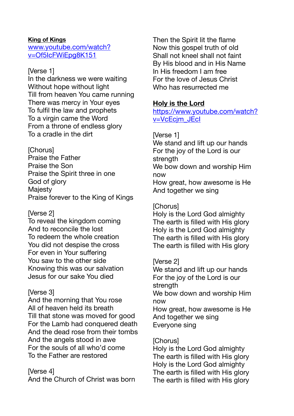#### **King of Kings**

[www.youtube.com/watch?](http://www.youtube.com/watch?v=Of5IcFWiEpg8K151) [v=Of5IcFWiEpg8K151](http://www.youtube.com/watch?v=Of5IcFWiEpg8K151)

#### [Verse 1]

In the darkness we were waiting Without hope without light Till from heaven You came running There was mercy in Your eyes To fulfil the law and prophets To a virgin came the Word From a throne of endless glory To a cradle in the dirt

**[Chorus]** 

Praise the Father Praise the Son Praise the Spirit three in one God of glory Majesty Praise forever to the King of Kings

#### [Verse 2]

To reveal the kingdom coming And to reconcile the lost To redeem the whole creation You did not despise the cross For even in Your suffering You saw to the other side Knowing this was our salvation Jesus for our sake You died

#### [Verse 3]

And the morning that You rose All of heaven held its breath Till that stone was moved for good For the Lamb had conquered death And the dead rose from their tombs And the angels stood in awe For the souls of all who'd come To the Father are restored

#### [Verse 4]

And the Church of Christ was born

Then the Spirit lit the flame Now this gospel truth of old Shall not kneel shall not faint By His blood and in His Name In His freedom I am free For the love of Jesus Christ Who has resurrected me

#### **Holy is the Lord**

[https://www.youtube.com/watch?](https://www.youtube.com/watch?v=VcEcjm_JEcI) [v=VcEcjm\\_JEcI](https://www.youtube.com/watch?v=VcEcjm_JEcI)

[Verse 1]

We stand and lift up our hands For the joy of the Lord is our strength

We bow down and worship Him now

How great, how awesome is He And together we sing

#### **[Chorus]**

Holy is the Lord God almighty The earth is filled with His glory Holy is the Lord God almighty The earth is filled with His glory The earth is filled with His glory

#### [Verse 2]

We stand and lift up our hands For the joy of the Lord is our strength We bow down and worship Him now How great, how awesome is He And together we sing

Everyone sing

#### [Chorus]

Holy is the Lord God almighty The earth is filled with His glory Holy is the Lord God almighty The earth is filled with His glory The earth is filled with His glory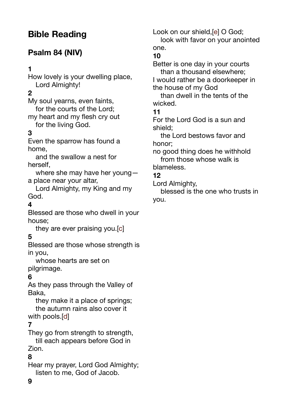# **Bible Reading**

# **Psalm 84 (NIV)**

# **1**

How lovely is your dwelling place, Lord Almighty!

# **2**

My soul yearns, even faints,

for the courts of the Lord;

my heart and my flesh cry out for the living God.

#### **3**

Even the sparrow has found a home,

 and the swallow a nest for herself,

 where she may have her young a place near your altar,

 Lord Almighty, my King and my God.

# **4**

Blessed are those who dwell in your house;

they are ever praising you.[c]

#### **5**

Blessed are those whose strength is in you,

 whose hearts are set on pilgrimage.

## **6**

As they pass through the Valley of Baka,

 they make it a place of springs; the autumn rains also cover it with pools.[d]

#### **7**

They go from strength to strength, till each appears before God in Zion.

#### **8**

Hear my prayer, Lord God Almighty; listen to me, God of Jacob.

Look on our shield,[e] O God;

 look with favor on your anointed one.

#### **10**

Better is one day in your courts than a thousand elsewhere; I would rather be a doorkeeper in the house of my God

 than dwell in the tents of the wicked.

## **11**

For the Lord God is a sun and shield;

 the Lord bestows favor and honor;

no good thing does he withhold from those whose walk is blameless.

#### **12**

Lord Almighty,

 blessed is the one who trusts in you.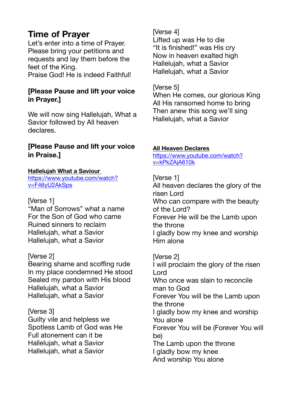# **Time of Prayer**

Let's enter into a time of Prayer. Please bring your petitions and requests and lay them before the feet of the King. Praise God! He is indeed Faithful!

## **[Please Pause and lift your voice in Prayer.]**

We will now sing Hallelujah, What a Savior followed by All heaven declares.

#### **[Please Pause and lift your voice in Praise.]**

#### **Hallelujah What a Saviour**

[https://www.youtube.com/watch?](https://www.youtube.com/watch?v=F46yU2AkSps) [v=F46yU2AkSps](https://www.youtube.com/watch?v=F46yU2AkSps)

#### [Verse 1]

"Man of Sorrows" what a name For the Son of God who came Ruined sinners to reclaim Hallelujah, what a Savior Hallelujah, what a Savior

#### [Verse 2]

Bearing shame and scoffing rude In my place condemned He stood Sealed my pardon with His blood Hallelujah, what a Savior Hallelujah, what a Savior

#### [Verse 3]

Guilty vile and helpless we Spotless Lamb of God was He Full atonement can it be Hallelujah, what a Savior Hallelujah, what a Savior

#### [Verse 4] Lifted up was He to die "It is finished!" was His cry Now in heaven exalted high Hallelujah, what a Savior Hallelujah, what a Savior

#### [Verse 5]

When He comes, our glorious King All His ransomed home to bring Then anew this song we'll sing Hallelujah, what a Savior

#### **All Heaven Declares**

[https://www.youtube.com/watch?](https://www.youtube.com/watch?v=kPkZAjA610k) [v=kPkZAjA610k](https://www.youtube.com/watch?v=kPkZAjA610k)

#### [Verse 1]

All heaven declares the glory of the risen Lord Who can compare with the beauty of the Lord? Forever He will be the Lamb upon the throne I gladly bow my knee and worship Him alone

[Verse 2] I will proclaim the glory of the risen Lord Who once was slain to reconcile man to God Forever You will be the Lamb upon the throne I gladly bow my knee and worship You alone Forever You will be (Forever You will be) The Lamb upon the throne I gladly bow my knee And worship You alone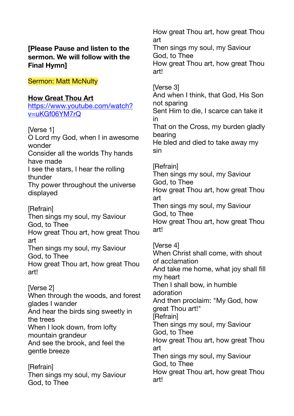## **[Please Pause and listen to the sermon. We will follow with the Final Hymn]**

#### **Sermon: Matt McNulty**

#### **How Great Thou Art**

[https://www.youtube.com/watch?](https://www.youtube.com/watch?v=uKGf06YM7rQ) [v=uKGf06YM7rQ](https://www.youtube.com/watch?v=uKGf06YM7rQ)

#### [Verse 1]

O Lord my God, when I in awesome wonder Consider all the worlds Thy hands have made I see the stars, I hear the rolling thunder

Thy power throughout the universe displayed

[Refrain] Then sings my soul, my Saviour God, to Thee

How great Thou art, how great Thou art

Then sings my soul, my Saviour God, to Thee How great Thou art, how great Thou art!

[Verse 2] When through the woods, and forest glades I wander And hear the birds sing sweetly in the trees When I look down, from lofty mountain grandeur And see the brook, and feel the gentle breeze

[Refrain] Then sings my soul, my Saviour God, to Thee

How great Thou art, how great Thou art Then sings my soul, my Saviour God, to Thee How great Thou art, how great Thou art! [Verse 3] And when I think, that God, His Son not sparing Sent Him to die, I scarce can take it in That on the Cross, my burden gladly bearing

He bled and died to take away my sin

# **[Refrain]** Then sings my soul, my Saviour God, to Thee How great Thou art, how great Thou art Then sings my soul, my Saviour God, to Thee

How great Thou art, how great Thou art!

[Verse 4] When Christ shall come, with shout of acclamation And take me home, what joy shall fill my heart Then I shall bow, in humble adoration And then proclaim: "My God, how great Thou art!" **[Refrain]** Then sings my soul, my Saviour God, to Thee How great Thou art, how great Thou art Then sings my soul, my Saviour God, to Thee How great Thou art, how great Thou art!